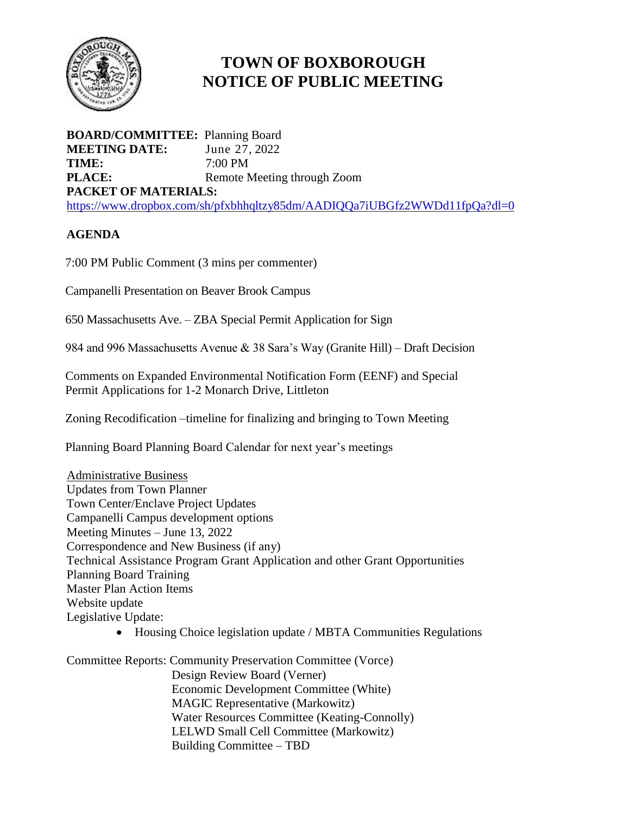

# **TOWN OF BOXBOROUGH NOTICE OF PUBLIC MEETING**

**BOARD/COMMITTEE:** Planning Board **MEETING DATE:** June 27, 2022 **TIME:** 7:00 PM **PLACE:** Remote Meeting through Zoom **PACKET OF MATERIALS:** <https://www.dropbox.com/sh/pfxbhhqltzy85dm/AADIQQa7iUBGfz2WWDd11fpQa?dl=0>

## **AGENDA**

7:00 PM Public Comment (3 mins per commenter)

Campanelli Presentation on Beaver Brook Campus

650 Massachusetts Ave. – ZBA Special Permit Application for Sign

984 and 996 Massachusetts Avenue & 38 Sara's Way (Granite Hill) – Draft Decision

Comments on Expanded Environmental Notification Form (EENF) and Special Permit Applications for 1-2 Monarch Drive, Littleton

Zoning Recodification –timeline for finalizing and bringing to Town Meeting

Planning Board Planning Board Calendar for next year's meetings

 Administrative Business Updates from Town Planner Town Center/Enclave Project Updates Campanelli Campus development options Meeting Minutes – June 13, 2022 Correspondence and New Business (if any) Technical Assistance Program Grant Application and other Grant Opportunities Planning Board Training Master Plan Action Items Website update Legislative Update:

• Housing Choice legislation update / MBTA Communities Regulations

Committee Reports: Community Preservation Committee (Vorce) Design Review Board (Verner) Economic Development Committee (White) MAGIC Representative (Markowitz) Water Resources Committee (Keating-Connolly) LELWD Small Cell Committee (Markowitz) Building Committee – TBD